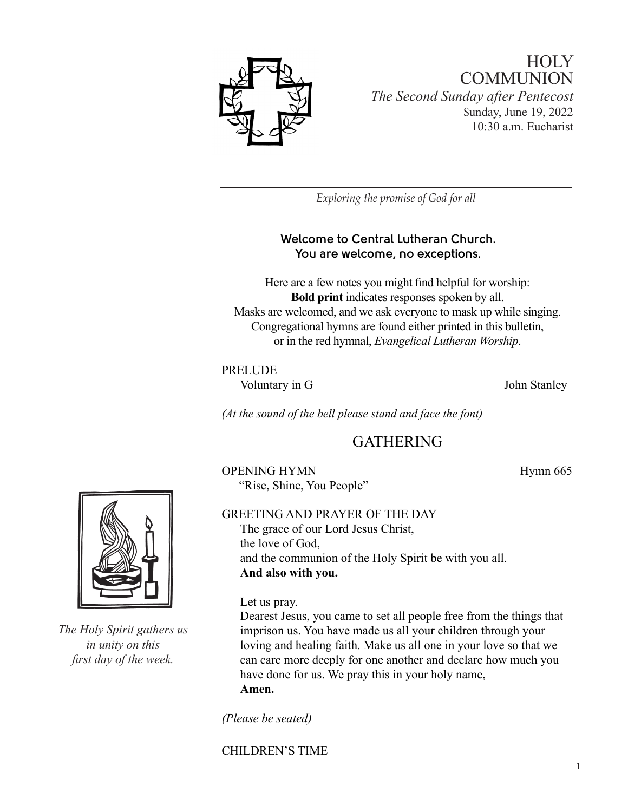

# **HOLY COMMUNION** *The Second Sunday after Pentecost* Sunday, June 19, 2022 10:30 a.m. Eucharist

*Exploring the promise of God for all*

# **Welcome to Central Lutheran Church. You are welcome, no exceptions.**

Here are a few notes you might find helpful for worship: **Bold print** indicates responses spoken by all. Masks are welcomed, and we ask everyone to mask up while singing. Congregational hymns are found either printed in this bulletin, or in the red hymnal, *Evangelical Lutheran Worship*.

## PRELUDE

Voluntary in G 50 and 100 and 100 and 100 and 100 and 100 and 100 and 100 and 100 and 100 and 100 and 100 and 100 and 100 and 100 and 100 and 100 and 100 and 100 and 100 and 100 and 100 and 100 and 100 and 100 and 100 and

*(At the sound of the bell please stand and face the font)*

# **GATHERING**

OPENING HYMN Hymn 665 "Rise, Shine, You People"



*The Holy Spirit gathers us in unity on this first day of the week.*

#### GREETING AND PRAYER OF THE DAY The grace of our Lord Jesus Christ,

the love of God, and the communion of the Holy Spirit be with you all. **And also with you.**

## Let us pray.

Dearest Jesus, you came to set all people free from the things that imprison us. You have made us all your children through your loving and healing faith. Make us all one in your love so that we can care more deeply for one another and declare how much you have done for us. We pray this in your holy name, **Amen.** 

*(Please be seated)*

CHILDREN'S TIME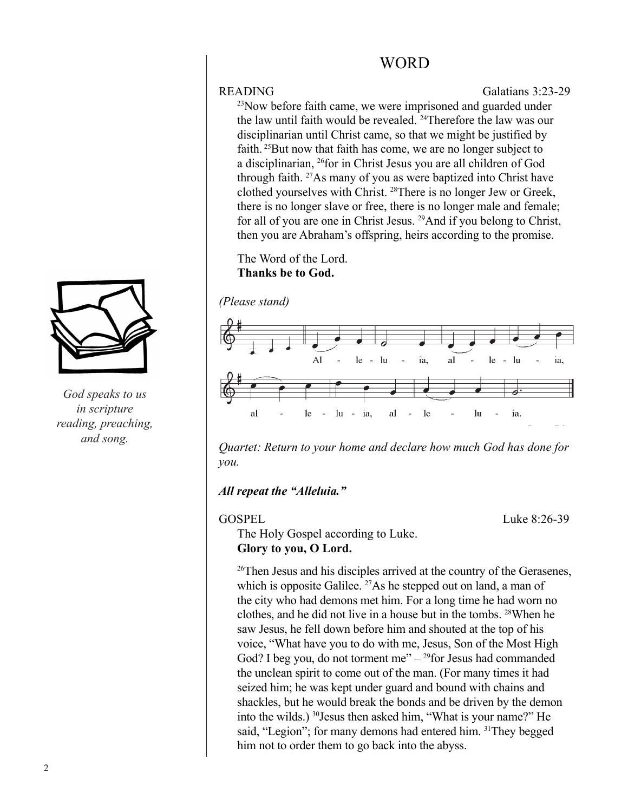# WORD

READING Galatians 3:23-29

<sup>23</sup>Now before faith came, we were imprisoned and guarded under the law until faith would be revealed. <sup>24</sup>Therefore the law was our disciplinarian until Christ came, so that we might be justified by faith. <sup>25</sup>But now that faith has come, we are no longer subject to a disciplinarian, 26for in Christ Jesus you are all children of God through faith. 27As many of you as were baptized into Christ have clothed yourselves with Christ. <sup>28</sup>There is no longer Jew or Greek, there is no longer slave or free, there is no longer male and female; for all of you are one in Christ Jesus. <sup>29</sup>And if you belong to Christ, then you are Abraham's offspring, heirs according to the promise.

The Word of the Lord. **Thanks be to God.**





*Quartet: Return to your home and declare how much God has done for you.*

## *All repeat the "Alleluia."*

GOSPEL Luke 8:26-39

The Holy Gospel according to Luke. **Glory to you, O Lord.**

<sup>26</sup>Then Jesus and his disciples arrived at the country of the Gerasenes, which is opposite Galilee. <sup>27</sup>As he stepped out on land, a man of the city who had demons met him. For a long time he had worn no clothes, and he did not live in a house but in the tombs. <sup>28</sup>When he saw Jesus, he fell down before him and shouted at the top of his voice, "What have you to do with me, Jesus, Son of the Most High God? I beg you, do not torment me" $-29$  for Jesus had commanded the unclean spirit to come out of the man. (For many times it had seized him; he was kept under guard and bound with chains and shackles, but he would break the bonds and be driven by the demon into the wilds.) <sup>30</sup>Jesus then asked him, "What is your name?" He said, "Legion"; for many demons had entered him. <sup>31</sup>They begged him not to order them to go back into the abyss.



*God speaks to us in scripture reading, preaching, and song.*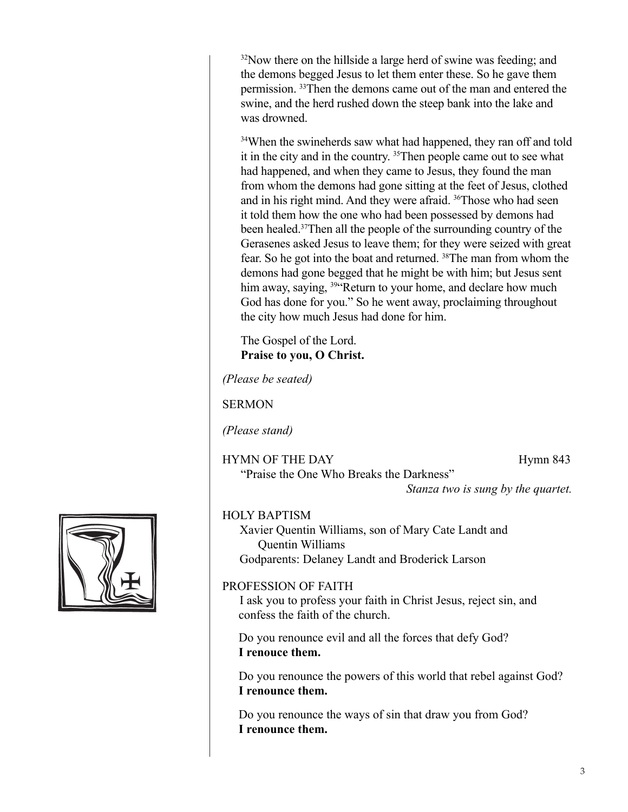<sup>32</sup>Now there on the hillside a large herd of swine was feeding; and the demons begged Jesus to let them enter these. So he gave them permission. <sup>33</sup>Then the demons came out of the man and entered the swine, and the herd rushed down the steep bank into the lake and was drowned.

<sup>34</sup>When the swineherds saw what had happened, they ran off and told it in the city and in the country. 35Then people came out to see what had happened, and when they came to Jesus, they found the man from whom the demons had gone sitting at the feet of Jesus, clothed and in his right mind. And they were afraid. 36Those who had seen it told them how the one who had been possessed by demons had been healed.<sup>37</sup>Then all the people of the surrounding country of the Gerasenes asked Jesus to leave them; for they were seized with great fear. So he got into the boat and returned. <sup>38</sup>The man from whom the demons had gone begged that he might be with him; but Jesus sent him away, saying, <sup>39"</sup>Return to your home, and declare how much God has done for you." So he went away, proclaiming throughout the city how much Jesus had done for him.

The Gospel of the Lord. **Praise to you, O Christ.**

*(Please be seated)* 

**SERMON** 

*(Please stand)*

HYMN OF THE DAY Hymn 843 "Praise the One Who Breaks the Darkness"

*Stanza two is sung by the quartet.*

### HOLY BAPTISM

Xavier Quentin Williams, son of Mary Cate Landt and Quentin Williams Godparents: Delaney Landt and Broderick Larson

## PROFESSION OF FAITH

I ask you to profess your faith in Christ Jesus, reject sin, and confess the faith of the church.

Do you renounce evil and all the forces that defy God? **I renouce them.** 

Do you renounce the powers of this world that rebel against God? **I renounce them.**

Do you renounce the ways of sin that draw you from God? **I renounce them.**

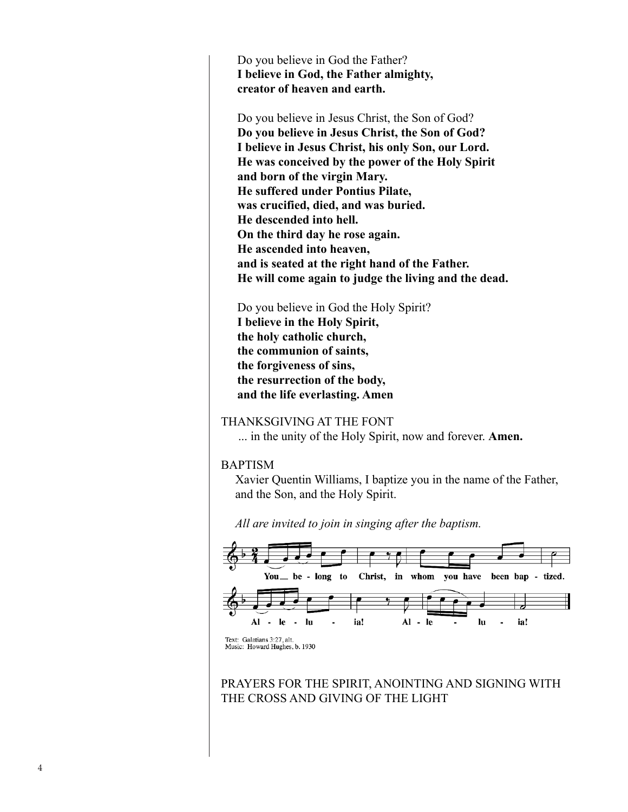Do you believe in God the Father? **I believe in God, the Father almighty, creator of heaven and earth.**

Do you believe in Jesus Christ, the Son of God? **Do you believe in Jesus Christ, the Son of God? I believe in Jesus Christ, his only Son, our Lord. He was conceived by the power of the Holy Spirit and born of the virgin Mary. He suffered under Pontius Pilate, was crucified, died, and was buried. He descended into hell. On the third day he rose again. He ascended into heaven, and is seated at the right hand of the Father. He will come again to judge the living and the dead.**

Do you believe in God the Holy Spirit? **I believe in the Holy Spirit, the holy catholic church, the communion of saints, the forgiveness of sins, the resurrection of the body, and the life everlasting. Amen**

#### THANKSGIVING AT THE FONT

... in the unity of the Holy Spirit, now and forever. **Amen.**

#### BAPTISM

Xavier Quentin Williams, I baptize you in the name of the Father, and the Son, and the Holy Spirit.

*All are invited to join in singing after the baptism.* 



PRAYERS FOR THE SPIRIT, ANOINTING AND SIGNING WITH THE CROSS AND GIVING OF THE LIGHT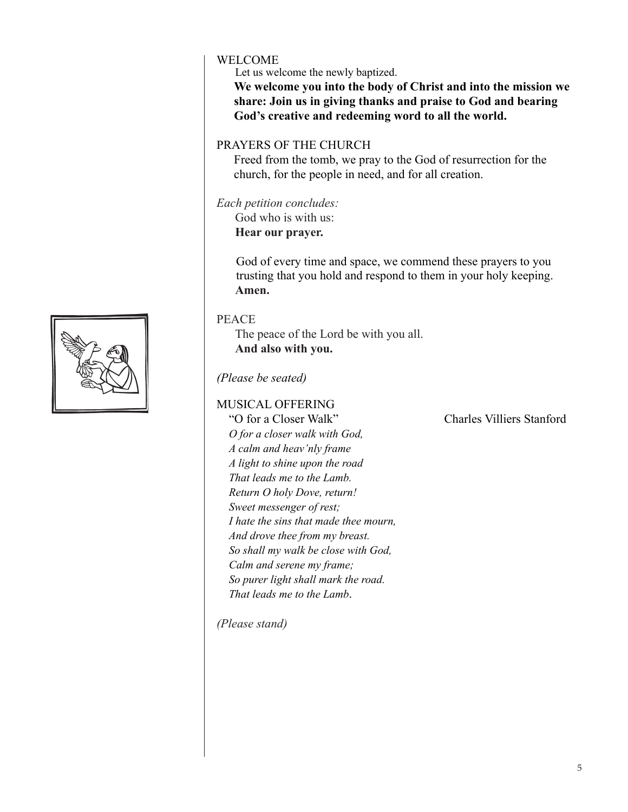### WELCOME

Let us welcome the newly baptized.

**We welcome you into the body of Christ and into the mission we share: Join us in giving thanks and praise to God and bearing God's creative and redeeming word to all the world.**

### PRAYERS OF THE CHURCH

Freed from the tomb, we pray to the God of resurrection for the church, for the people in need, and for all creation.

*Each petition concludes:*

God who is with us: **Hear our prayer.**

God of every time and space, we commend these prayers to you trusting that you hold and respond to them in your holy keeping. **Amen.**

#### PEACE

The peace of the Lord be with you all. **And also with you.**

### *(Please be seated)*

### MUSICAL OFFERING

"O for a Closer Walk" Charles Villiers Stanford

*O for a closer walk with God, A calm and heav'nly frame A light to shine upon the road That leads me to the Lamb. Return O holy Dove, return! Sweet messenger of rest; I hate the sins that made thee mourn, And drove thee from my breast. So shall my walk be close with God, Calm and serene my frame; So purer light shall mark the road. That leads me to the Lamb*.

*(Please stand)*

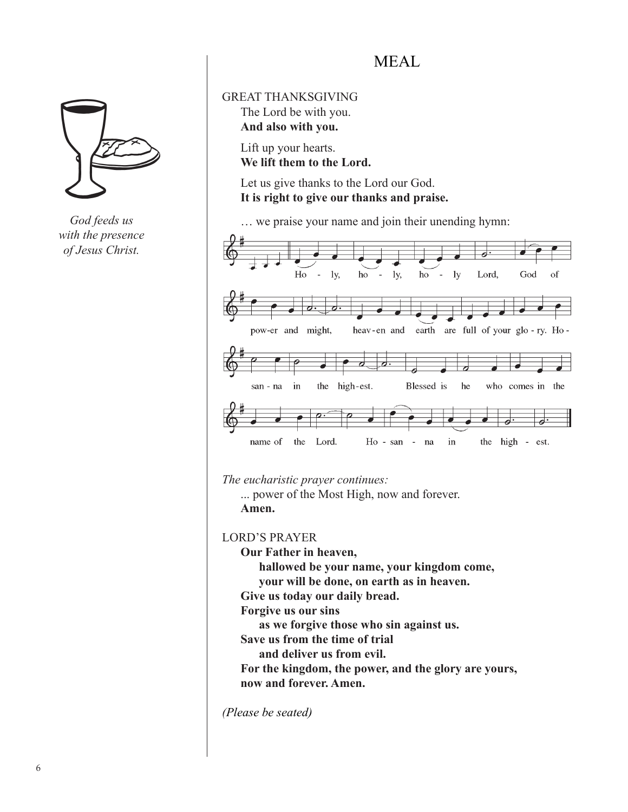*God feeds us with the presence of Jesus Christ.*

# MEAL

GREAT THANKSGIVING The Lord be with you. **And also with you.** 

> Lift up your hearts. **We lift them to the Lord.**

Let us give thanks to the Lord our God. **It is right to give our thanks and praise.** 

… we praise your name and join their unending hymn:



*The eucharistic prayer continues:*

... power of the Most High, now and forever. **Amen.**

LORD'S PRAYER

**Our Father in heaven,** 

 **hallowed be your name, your kingdom come,** 

 **your will be done, on earth as in heaven.** 

**Give us today our daily bread.** 

**Forgive us our sins** 

 **as we forgive those who sin against us.** 

**Save us from the time of trial** 

 **and deliver us from evil.** 

**For the kingdom, the power, and the glory are yours, now and forever. Amen.**

*(Please be seated)*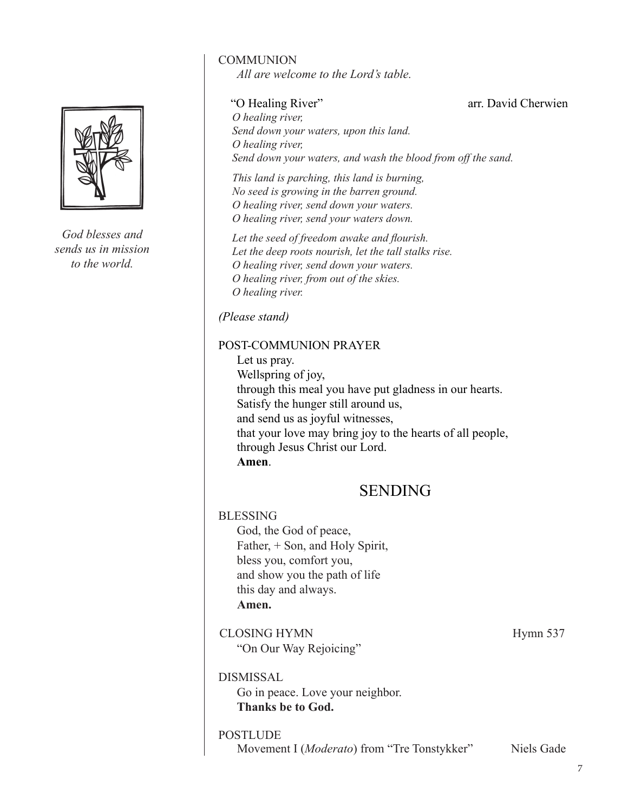

*God blesses and sends us in mission to the world.*

### COMMUNION

*All are welcome to the Lord's table.*

"O Healing River" arr. David Cherwien

*O healing river, Send down your waters, upon this land. O healing river, Send down your waters, and wash the blood from off the sand.*

*This land is parching, this land is burning, No seed is growing in the barren ground. O healing river, send down your waters. O healing river, send your waters down.*

*Let the seed of freedom awake and flourish. Let the deep roots nourish, let the tall stalks rise. O healing river, send down your waters. O healing river, from out of the skies. O healing river.*

#### *(Please stand)*

### POST-COMMUNION PRAYER

Let us pray. Wellspring of joy, through this meal you have put gladness in our hearts. Satisfy the hunger still around us, and send us as joyful witnesses, that your love may bring joy to the hearts of all people, through Jesus Christ our Lord. **Amen**.

# SENDING

| BLESSING                         |          |
|----------------------------------|----------|
| God, the God of peace,           |          |
| Father, + Son, and Holy Spirit,  |          |
| bless you, comfort you,          |          |
| and show you the path of life    |          |
| this day and always.             |          |
| Amen.                            |          |
| <b>CLOSING HYMN</b>              | Hymn 537 |
| "On Our Way Rejoicing"           |          |
| DISMISSAL                        |          |
| Go in peace. Love your neighbor. |          |
| Thanks be to God.                |          |
|                                  |          |

#### POSTLUDE

Movement I (*Moderato*) from "Tre Tonstykker" Niels Gade